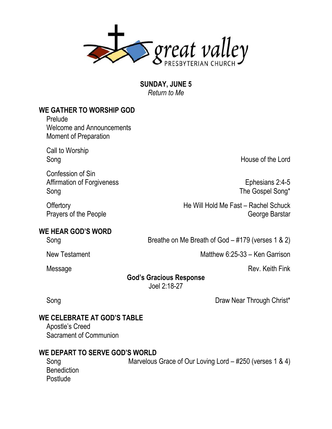

**SUNDAY, JUNE 5** *Return to Me*

## **WE GATHER TO WORSHIP GOD**

Prelude Welcome and Announcements Moment of Preparation

Call to Worship

Confession of Sin

Song **House of the Lord** 

Affirmation of Forgiveness **Ephesians 2:4-5** Song The Gospel Song\*

Offertory **He Will Hold Me Fast – Rachel Schuck** Prayers of the People George Barstar

### **WE HEAR GOD'S WORD**

Song Breathe on Me Breath of God – #179 (verses 1 & 2)

New Testament Matthew 6:25-33 – Ken Garrison

Message Rev. Keith Fink

### **God's Gracious Response**

Joel 2:18-27

Song Draw Near Through Christ\*

### **WE CELEBRATE AT GOD'S TABLE**

Apostle's Creed Sacrament of Communion

### **WE DEPART TO SERVE GOD'S WORLD**

Song Marvelous Grace of Our Loving Lord – #250 (verses 1 & 4) **Benediction** Postlude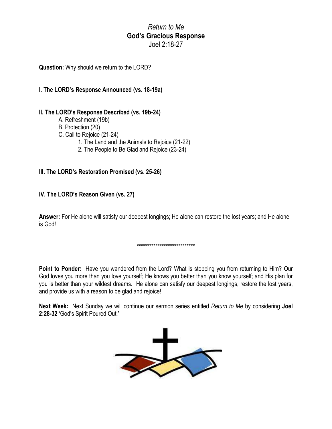### *Return to Me* **God's Gracious Response** Joel 2:18-27

**Question:** Why should we return to the LORD?

#### **I. The LORD's Response Announced (vs. 18-19a)**

#### **II. The LORD's Response Described (vs. 19b-24)**

- A. Refreshment (19b)
- B. Protection (20)
- C. Call to Rejoice (21-24)
	- 1. The Land and the Animals to Rejoice (21-22)
	- 2. The People to Be Glad and Rejoice (23-24)

#### **III. The LORD's Restoration Promised (vs. 25-26)**

### **IV. The LORD's Reason Given (vs. 27)**

**Answer:** For He alone will satisfy our deepest longings; He alone can restore the lost years; and He alone is God!

#### \*\*\*\*\*\*\*\*\*\*\*\*\*\*\*\*\*\*\*\*\*\*\*\*\*\*\*\*

**Point to Ponder:** Have you wandered from the Lord? What is stopping you from returning to Him? Our God loves you more than you love yourself; He knows you better than you know yourself; and His plan for you is better than your wildest dreams. He alone can satisfy our deepest longings, restore the lost years, and provide us with a reason to be glad and rejoice!

**Next Week:** Next Sunday we will continue our sermon series entitled *Return to Me* by considering **Joel 2:28-32** 'God's Spirit Poured Out.'

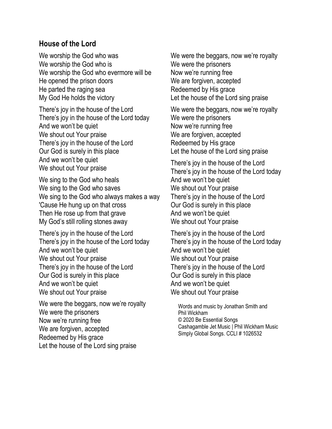## **House of the Lord**

We worship the God who was We worship the God who is We worship the God who evermore will be He opened the prison doors He parted the raging sea My God He holds the victory

There's joy in the house of the Lord There's joy in the house of the Lord today And we won't be quiet We shout out Your praise There's joy in the house of the Lord Our God is surely in this place And we won't be quiet We shout out Your praise

We sing to the God who heals We sing to the God who saves We sing to the God who always makes a way 'Cause He hung up on that cross Then He rose up from that grave My God's still rolling stones away

There's joy in the house of the Lord There's joy in the house of the Lord today And we won't be quiet We shout out Your praise There's joy in the house of the Lord Our God is surely in this place And we won't be quiet We shout out Your praise

We were the beggars, now we're royalty We were the prisoners Now we're running free We are forgiven, accepted Redeemed by His grace Let the house of the Lord sing praise

We were the beggars, now we're royalty We were the prisoners Now we're running free We are forgiven, accepted Redeemed by His grace Let the house of the Lord sing praise

We were the beggars, now we're royalty We were the prisoners Now we're running free We are forgiven, accepted Redeemed by His grace Let the house of the Lord sing praise

There's joy in the house of the Lord There's joy in the house of the Lord today And we won't be quiet We shout out Your praise There's joy in the house of the Lord Our God is surely in this place And we won't be quiet We shout out Your praise

There's joy in the house of the Lord There's joy in the house of the Lord today And we won't be quiet We shout out Your praise There's joy in the house of the Lord Our God is surely in this place And we won't be quiet We shout out Your praise

Words and music by Jonathan Smith and Phil Wickham © 2020 Be Essential Songs Cashagamble Jet Music | Phil Wickham Music Simply Global Songs. CCLI # 1026532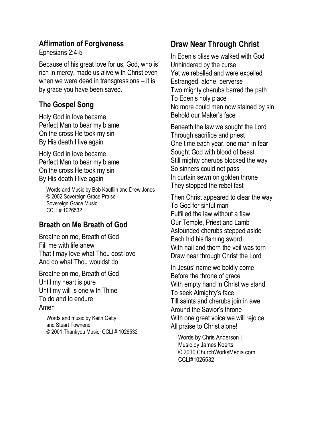## **Affirmation of Forgiveness**

Ephesians 2:4-5

Because of his great love for us, God, who is rich in mercy, made us alive with Christ even when we were dead in transgressions – it is by grace you have been saved.

## **The Gospel Song**

Holy God in love became Perfect Man to bear my blame On the cross He took my sin By His death I live again

Holy God in love became Perfect Man to bear my blame On the cross He took my sin By His death I live again

Words and Music by Bob Kaufllin and Drew Jones © 2002 Sovereign Grace Praise Sovereign Grace Music CCLI # 1026532

## **Breath on Me Breath of God**

Breathe on me, Breath of God Fill me with life anew That I may love what Thou dost love And do what Thou wouldst do

Breathe on me, Breath of God Until my heart is pure Until my will is one with Thine To do and to endure Amen

Words and music by Keith Getty and Stuart Townend © 2001 Thankyou Music. CCLI # 1026532

# **Draw Near Through Christ**

In Eden's bliss we walked with God Unhindered by the curse Yet we rebelled and were expelled Estranged, alone, perverse Two mighty cherubs barred the path To Eden's holy place No more could men now stained by sin Behold our Maker's face

Beneath the law we sought the Lord Through sacrifice and priest One time each year, one man in fear Sought God with blood of beast Still mighty cherubs blocked the way So sinners could not pass In curtain sewn on golden throne They stopped the rebel fast

Then Christ appeared to clear the way To God for sinful man Fulfilled the law without a flaw Our Temple, Priest and Lamb Astounded cherubs stepped aside Each hid his flaming sword With nail and thorn the veil was torn Draw near through Christ the Lord

In Jesus' name we boldly come Before the throne of grace With empty hand in Christ we stand To seek Almighty's face Till saints and cherubs join in awe Around the Savior's throne With one great voice we will rejoice All praise to Christ alone!

Words by Chris Anderson | Music by James Koerts © 2010 ChurchWorksMedia.com CCLI#1026532